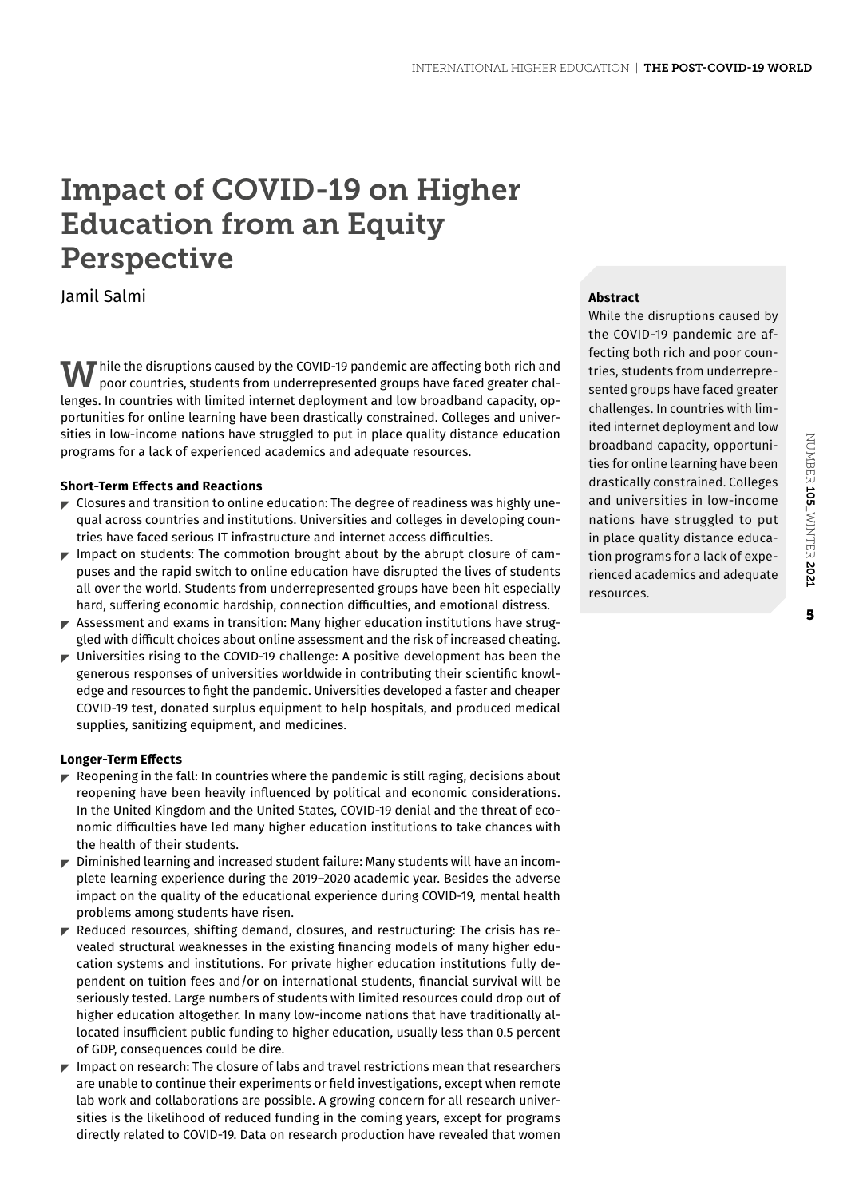# Impact of COVID-19 on Higher Education from an Equity Perspective

Jamil Salmi

 $\bf{W}$  hile the disruptions caused by the COVID-19 pandemic are affecting both rich and poor countries, students from underrepresented groups have faced greater challenges. In countries with limited internet deployment and low broadband capacity, opportunities for online learning have been drastically constrained. Colleges and universities in low-income nations have struggled to put in place quality distance education programs for a lack of experienced academics and adequate resources.

# **Short-Term Effects and Reactions**

- $\blacktriangleright$  Closures and transition to online education: The degree of readiness was highly unequal across countries and institutions. Universities and colleges in developing countries have faced serious IT infrastructure and internet access difficulties.
- $\blacktriangleright$  Impact on students: The commotion brought about by the abrupt closure of campuses and the rapid switch to online education have disrupted the lives of students all over the world. Students from underrepresented groups have been hit especially hard, suffering economic hardship, connection difficulties, and emotional distress.
- $\blacktriangleright$  Assessment and exams in transition: Many higher education institutions have struggled with difficult choices about online assessment and the risk of increased cheating.
- $\blacktriangleright$  Universities rising to the COVID-19 challenge: A positive development has been the generous responses of universities worldwide in contributing their scientific knowledge and resources to fight the pandemic. Universities developed a faster and cheaper COVID-19 test, donated surplus equipment to help hospitals, and produced medical supplies, sanitizing equipment, and medicines.

### **Longer-Term Effects**

- $\blacktriangleright$  Reopening in the fall: In countries where the pandemic is still raging, decisions about reopening have been heavily influenced by political and economic considerations. In the United Kingdom and the United States, COVID-19 denial and the threat of economic difficulties have led many higher education institutions to take chances with the health of their students.
- $\blacktriangleright$  Diminished learning and increased student failure: Many students will have an incomplete learning experience during the 2019–2020 academic year. Besides the adverse impact on the quality of the educational experience during COVID-19, mental health problems among students have risen.
- $\blacktriangleright$  Reduced resources, shifting demand, closures, and restructuring: The crisis has revealed structural weaknesses in the existing financing models of many higher education systems and institutions. For private higher education institutions fully dependent on tuition fees and/or on international students, financial survival will be seriously tested. Large numbers of students with limited resources could drop out of higher education altogether. In many low-income nations that have traditionally allocated insufficient public funding to higher education, usually less than 0.5 percent of GDP, consequences could be dire.
- $\blacktriangleright$  Impact on research: The closure of labs and travel restrictions mean that researchers are unable to continue their experiments or field investigations, except when remote lab work and collaborations are possible. A growing concern for all research universities is the likelihood of reduced funding in the coming years, except for programs directly related to COVID-19. Data on research production have revealed that women

# **Abstract**

While the disruptions caused by the COVID-19 pandemic are affecting both rich and poor countries, students from underrepresented groups have faced greater challenges. In countries with limited internet deployment and low broadband capacity, opportunities for online learning have been drastically constrained. Colleges and universities in low-income nations have struggled to put in place quality distance education programs for a lack of experienced academics and adequate resources.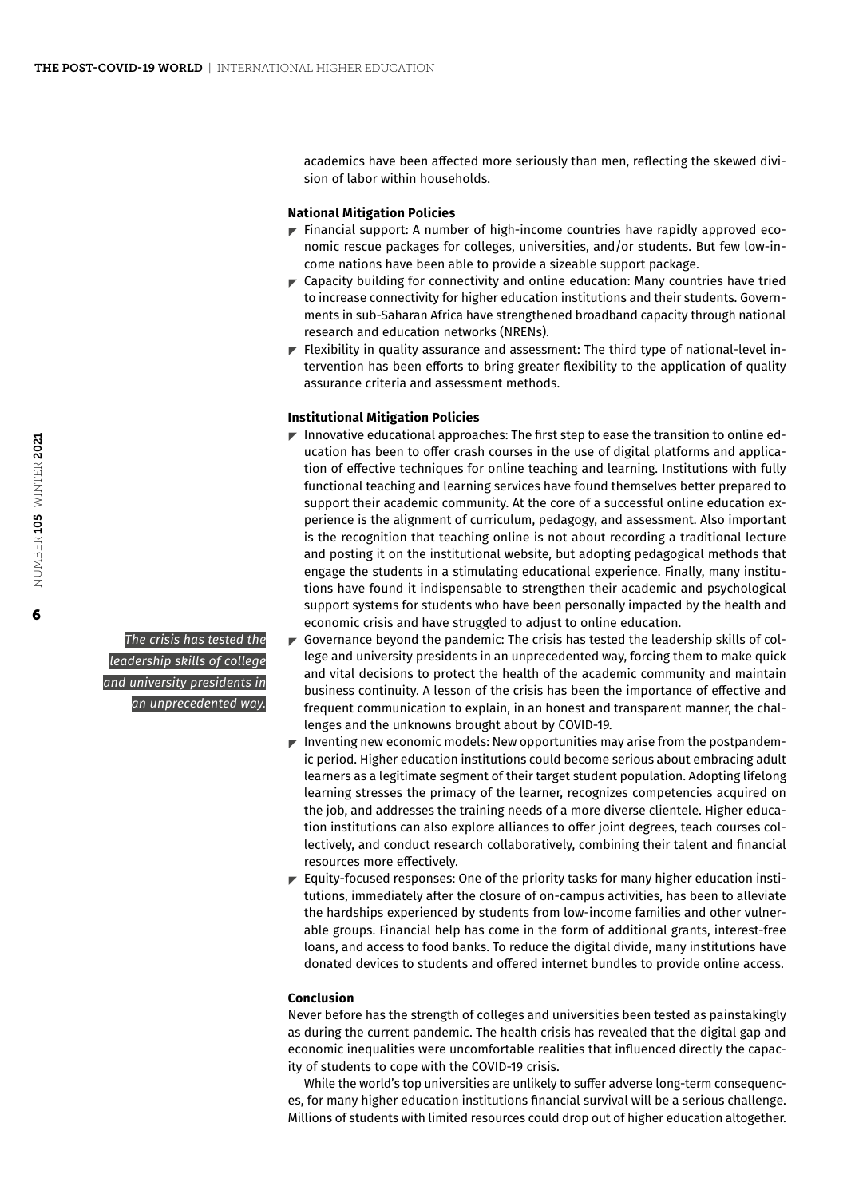academics have been affected more seriously than men, reflecting the skewed division of labor within households.

## **National Mitigation Policies**

- $\blacktriangleright$  Financial support: A number of high-income countries have rapidly approved economic rescue packages for colleges, universities, and/or students. But few low-income nations have been able to provide a sizeable support package.
- $\blacktriangleright$  Capacity building for connectivity and online education: Many countries have tried to increase connectivity for higher education institutions and their students. Governments in sub-Saharan Africa have strengthened broadband capacity through national research and education networks (NRENs).
- $\blacktriangleright$  Flexibility in quality assurance and assessment: The third type of national-level intervention has been efforts to bring greater flexibility to the application of quality assurance criteria and assessment methods.

#### **Institutional Mitigation Policies**

- Innovative educational approaches: The first step to ease the transition to online education has been to offer crash courses in the use of digital platforms and application of effective techniques for online teaching and learning. Institutions with fully functional teaching and learning services have found themselves better prepared to support their academic community. At the core of a successful online education experience is the alignment of curriculum, pedagogy, and assessment. Also important is the recognition that teaching online is not about recording a traditional lecture and posting it on the institutional website, but adopting pedagogical methods that engage the students in a stimulating educational experience. Finally, many institutions have found it indispensable to strengthen their academic and psychological support systems for students who have been personally impacted by the health and economic crisis and have struggled to adjust to online education.
- $\blacktriangleright$  Governance beyond the pandemic: The crisis has tested the leadership skills of college and university presidents in an unprecedented way, forcing them to make quick and vital decisions to protect the health of the academic community and maintain business continuity. A lesson of the crisis has been the importance of effective and frequent communication to explain, in an honest and transparent manner, the challenges and the unknowns brought about by COVID-19.
- $\blacktriangleright$  Inventing new economic models: New opportunities may arise from the postpandemic period. Higher education institutions could become serious about embracing adult learners as a legitimate segment of their target student population. Adopting lifelong learning stresses the primacy of the learner, recognizes competencies acquired on the job, and addresses the training needs of a more diverse clientele. Higher education institutions can also explore alliances to offer joint degrees, teach courses collectively, and conduct research collaboratively, combining their talent and financial resources more effectively.
- $\blacktriangleright$  Equity-focused responses: One of the priority tasks for many higher education institutions, immediately after the closure of on-campus activities, has been to alleviate the hardships experienced by students from low-income families and other vulnerable groups. Financial help has come in the form of additional grants, interest-free loans, and access to food banks. To reduce the digital divide, many institutions have donated devices to students and offered internet bundles to provide online access.

#### **Conclusion**

Never before has the strength of colleges and universities been tested as painstakingly as during the current pandemic. The health crisis has revealed that the digital gap and economic inequalities were uncomfortable realities that influenced directly the capacity of students to cope with the COVID-19 crisis.

While the world's top universities are unlikely to suffer adverse long-term consequences, for many higher education institutions financial survival will be a serious challenge. Millions of students with limited resources could drop out of higher education altogether.

*The crisis has tested the leadership skills of college and university presidents in an unprecedented way.*